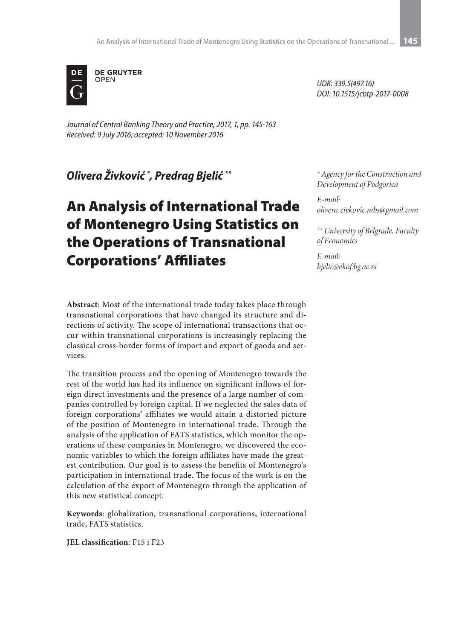

*Journal of Central Banking Theory and Practice, 2017, 1, pp. 145-163 Received: 9 July 2016; accepted: 10 November 2016*

*Olivera Živković \* , Predrag Bjelić \*\**

# An Analysis of International Trade of Montenegro Using Statistics on the Operations of Transnational Corporations' Affiliates

**Abstract**: Most of the international trade today takes place through transnational corporations that have changed its structure and directions of activity. The scope of international transactions that occur within transnational corporations is increasingly replacing the classical cross-border forms of import and export of goods and services.

The transition process and the opening of Montenegro towards the rest of the world has had its influence on significant inflows of foreign direct investments and the presence of a large number of companies controlled by foreign capital. If we neglected the sales data of foreign corporations' affiliates we would attain a distorted picture of the position of Montenegro in international trade. Through the analysis of the application of FATS statistics, which monitor the operations of these companies in Montenegro, we discovered the economic variables to which the foreign affiliates have made the greatest contribution. Our goal is to assess the benefits of Montenegro's participation in international trade. The focus of the work is on the calculation of the export of Montenegro through the application of this new statistical concept.

**Keywords**: globalization, transnational corporations, international trade, FATS statistics.

**JEL classification**: F15 i F23

*UDK: 339.5(497.16) DOI: 10.1515/jcbtp-2017-0008*

*\* Agency for the Construction and Development of Podgorica*

*E-mail: olivera.zivkovic.mbs@gmail.com*

*\*\* University of Belgrade, Faculty of Economics*

*E-mail: bjelic@ekof.bg.ac.rs*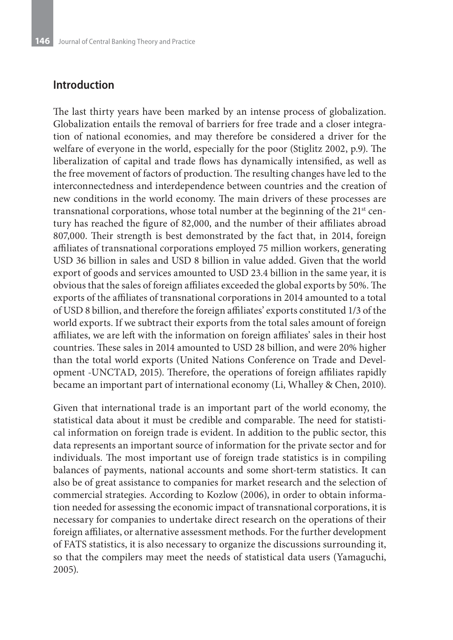#### **Introduction**

The last thirty years have been marked by an intense process of globalization. Globalization entails the removal of barriers for free trade and a closer integration of national economies, and may therefore be considered a driver for the welfare of everyone in the world, especially for the poor (Stiglitz 2002, p.9). The liberalization of capital and trade flows has dynamically intensified, as well as the free movement of factors of production. The resulting changes have led to the interconnectedness and interdependence between countries and the creation of new conditions in the world economy. The main drivers of these processes are transnational corporations, whose total number at the beginning of the 21<sup>st</sup> century has reached the figure of 82,000, and the number of their affiliates abroad 807,000. Their strength is best demonstrated by the fact that, in 2014, foreign affiliates of transnational corporations employed 75 million workers, generating USD 36 billion in sales and USD 8 billion in value added. Given that the world export of goods and services amounted to USD 23.4 billion in the same year, it is obvious that the sales of foreign affiliates exceeded the global exports by 50%. The exports of the affiliates of transnational corporations in 2014 amounted to a total of USD 8 billion, and therefore the foreign affiliates' exports constituted 1/3 of the world exports. If we subtract their exports from the total sales amount of foreign affiliates, we are left with the information on foreign affiliates' sales in their host countries. These sales in 2014 amounted to USD 28 billion, and were 20% higher than the total world exports (United Nations Conference on Trade and Development -UNCTAD, 2015). Therefore, the operations of foreign affiliates rapidly became an important part of international economy (Li, Whalley & Chen, 2010).

Given that international trade is an important part of the world economy, the statistical data about it must be credible and comparable. The need for statistical information on foreign trade is evident. In addition to the public sector, this data represents an important source of information for the private sector and for individuals. The most important use of foreign trade statistics is in compiling balances of payments, national accounts and some short-term statistics. It can also be of great assistance to companies for market research and the selection of commercial strategies. According to Kozlow (2006), in order to obtain information needed for assessing the economic impact of transnational corporations, it is necessary for companies to undertake direct research on the operations of their foreign affiliates, or alternative assessment methods. For the further development of FATS statistics, it is also necessary to organize the discussions surrounding it, so that the compilers may meet the needs of statistical data users (Yamaguchi, 2005).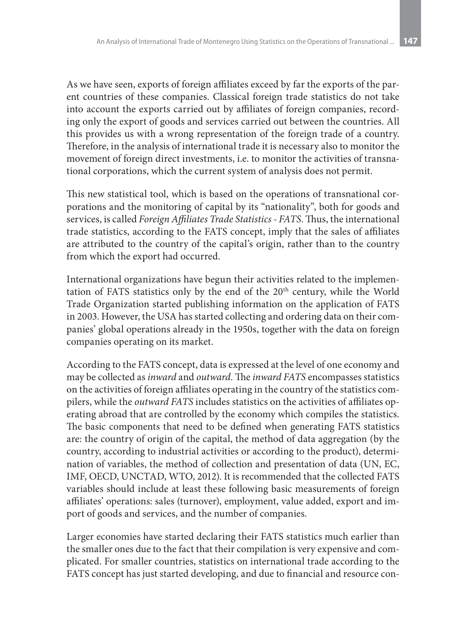As we have seen, exports of foreign affiliates exceed by far the exports of the parent countries of these companies. Classical foreign trade statistics do not take into account the exports carried out by affiliates of foreign companies, recording only the export of goods and services carried out between the countries. All this provides us with a wrong representation of the foreign trade of a country. Therefore, in the analysis of international trade it is necessary also to monitor the movement of foreign direct investments, i.e. to monitor the activities of transnational corporations, which the current system of analysis does not permit.

This new statistical tool, which is based on the operations of transnational corporations and the monitoring of capital by its "nationality", both for goods and services, is called *Foreign Affiliates Trade Statistics - FATS*. Thus, the international trade statistics, according to the FATS concept, imply that the sales of affiliates are attributed to the country of the capital's origin, rather than to the country from which the export had occurred.

International organizations have begun their activities related to the implementation of FATS statistics only by the end of the 20<sup>th</sup> century, while the World Trade Organization started publishing information on the application of FATS in 2003. However, the USA has started collecting and ordering data on their companies' global operations already in the 1950s, together with the data on foreign companies operating on its market.

According to the FATS concept, data is expressed at the level of one economy and may be collected as *inward* and *outward*. The *inward FATS* encompasses statistics on the activities of foreign affiliates operating in the country of the statistics compilers, while the *outward FATS* includes statistics on the activities of affiliates operating abroad that are controlled by the economy which compiles the statistics. The basic components that need to be defined when generating FATS statistics are: the country of origin of the capital, the method of data aggregation (by the country, according to industrial activities or according to the product), determination of variables, the method of collection and presentation of data (UN, EC, IMF, OECD, UNCTAD, WTO, 2012). It is recommended that the collected FATS variables should include at least these following basic measurements of foreign affiliates' operations: sales (turnover), employment, value added, export and import of goods and services, and the number of companies.

Larger economies have started declaring their FATS statistics much earlier than the smaller ones due to the fact that their compilation is very expensive and complicated. For smaller countries, statistics on international trade according to the FATS concept has just started developing, and due to financial and resource con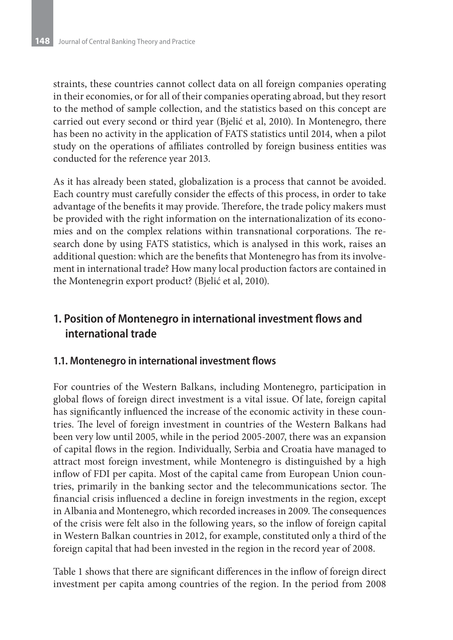straints, these countries cannot collect data on all foreign companies operating in their economies, or for all of their companies operating abroad, but they resort to the method of sample collection, and the statistics based on this concept are carried out every second or third year (Bjelić et al, 2010). In Montenegro, there has been no activity in the application of FATS statistics until 2014, when a pilot study on the operations of affiliates controlled by foreign business entities was conducted for the reference year 2013.

As it has already been stated, globalization is a process that cannot be avoided. Each country must carefully consider the effects of this process, in order to take advantage of the benefits it may provide. Therefore, the trade policy makers must be provided with the right information on the internationalization of its economies and on the complex relations within transnational corporations. The research done by using FATS statistics, which is analysed in this work, raises an additional question: which are the benefits that Montenegro has from its involvement in international trade? How many local production factors are contained in the Montenegrin export product? (Bjelić et al, 2010).

## **1. Position of Montenegro in international investment flows and international trade**

#### **1.1. Montenegro in international investment flows**

For countries of the Western Balkans, including Montenegro, participation in global flows of foreign direct investment is a vital issue. Of late, foreign capital has significantly influenced the increase of the economic activity in these countries. The level of foreign investment in countries of the Western Balkans had been very low until 2005, while in the period 2005-2007, there was an expansion of capital flows in the region. Individually, Serbia and Croatia have managed to attract most foreign investment, while Montenegro is distinguished by a high inflow of FDI per capita. Most of the capital came from European Union countries, primarily in the banking sector and the telecommunications sector. The financial crisis influenced a decline in foreign investments in the region, except in Albania and Montenegro, which recorded increases in 2009. The consequences of the crisis were felt also in the following years, so the inflow of foreign capital in Western Balkan countries in 2012, for example, constituted only a third of the foreign capital that had been invested in the region in the record year of 2008.

Table 1 shows that there are significant differences in the inflow of foreign direct investment per capita among countries of the region. In the period from 2008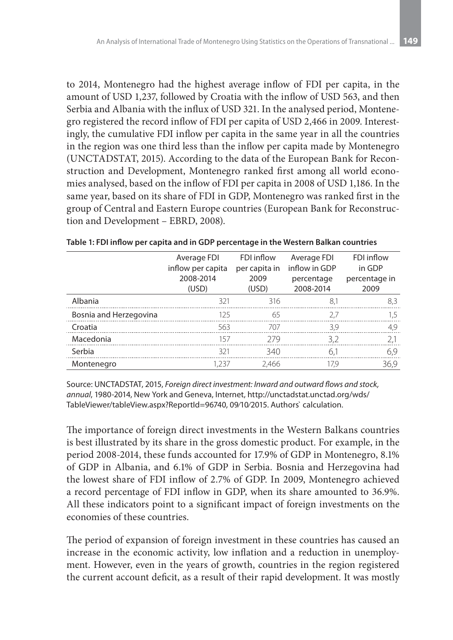to 2014, Montenegro had the highest average inflow of FDI per capita, in the amount of USD 1,237, followed by Croatia with the inflow of USD 563, and then Serbia and Albania with the influx of USD 321. In the analysed period, Montenegro registered the record inflow of FDI per capita of USD 2,466 in 2009. Interestingly, the cumulative FDI inflow per capita in the same year in all the countries in the region was one third less than the inflow per capita made by Montenegro (UNCTADSTAT, 2015). According to the data of the European Bank for Reconstruction and Development, Montenegro ranked first among all world economies analysed, based on the inflow of FDI per capita in 2008 of USD 1,186. In the same year, based on its share of FDI in GDP, Montenegro was ranked first in the group of Central and Eastern Europe countries (European Bank for Reconstruction and Development – EBRD, 2008).

|                        | Average FDI<br>inflow per capita<br>2008-2014 | FDI inflow<br>per capita in<br>2009 | Average FDI<br>inflow in GDP<br>percentage | FDI inflow<br>in GDP<br>percentage in |  |
|------------------------|-----------------------------------------------|-------------------------------------|--------------------------------------------|---------------------------------------|--|
|                        | (USD)                                         | (USD)                               | 2008-2014                                  | 2009                                  |  |
| Albania                | 321                                           | 316                                 | 8,1                                        | 8,3                                   |  |
| Bosnia and Herzegovina | 125                                           | 65                                  | 2.7                                        | 1.5                                   |  |
| Croatia                | 563                                           | 707                                 | 3.9                                        | 4.9                                   |  |
| Macedonia              | 157                                           | 279                                 | 3.2                                        | 2,1                                   |  |
| Serbia                 | 321                                           | 340                                 | 6.1                                        | 6,9                                   |  |
| Montenegro             | 1.237                                         | 2.466                               | 17.9                                       | 36.9                                  |  |

**Table 1: FDI inflow per capita and in GDP percentage in the Western Balkan countries**

Source: UNCTADSTAT, 2015, *Foreign direct investment: Inward and outward flows and stock, annual*, 1980-2014, New York and Geneva, Internet, http://unctadstat.unctad.org/wds/ TableViewer/tableView.aspx?ReportId=96740, 09∕10∕2015. Authors` calculation.

The importance of foreign direct investments in the Western Balkans countries is best illustrated by its share in the gross domestic product. For example, in the period 2008-2014, these funds accounted for 17.9% of GDP in Montenegro, 8.1% of GDP in Albania, and 6.1% of GDP in Serbia. Bosnia and Herzegovina had the lowest share of FDI inflow of 2.7% of GDP. In 2009, Montenegro achieved a record percentage of FDI inflow in GDP, when its share amounted to 36.9%. All these indicators point to a significant impact of foreign investments on the economies of these countries.

The period of expansion of foreign investment in these countries has caused an increase in the economic activity, low inflation and a reduction in unemployment. However, even in the years of growth, countries in the region registered the current account deficit, as a result of their rapid development. It was mostly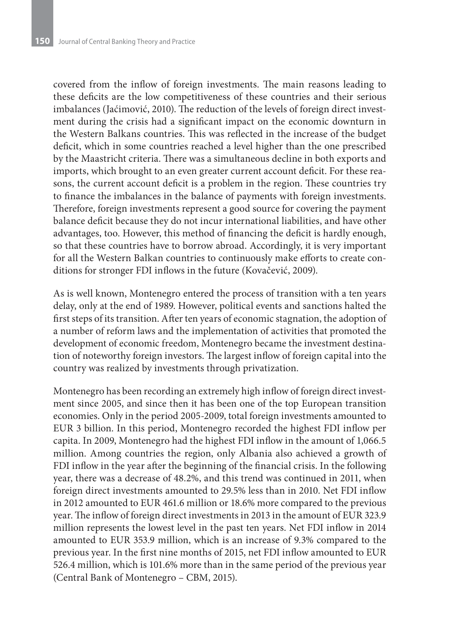covered from the inflow of foreign investments. The main reasons leading to these deficits are the low competitiveness of these countries and their serious imbalances (Jaćimović, 2010). The reduction of the levels of foreign direct investment during the crisis had a significant impact on the economic downturn in the Western Balkans countries. This was reflected in the increase of the budget deficit, which in some countries reached a level higher than the one prescribed by the Maastricht criteria. There was a simultaneous decline in both exports and imports, which brought to an even greater current account deficit. For these reasons, the current account deficit is a problem in the region. These countries try to finance the imbalances in the balance of payments with foreign investments. Therefore, foreign investments represent a good source for covering the payment balance deficit because they do not incur international liabilities, and have other advantages, too. However, this method of financing the deficit is hardly enough, so that these countries have to borrow abroad. Accordingly, it is very important for all the Western Balkan countries to continuously make efforts to create conditions for stronger FDI inflows in the future (Kovačević, 2009).

As is well known, Montenegro entered the process of transition with a ten years delay, only at the end of 1989. However, political events and sanctions halted the first steps of its transition. After ten years of economic stagnation, the adoption of a number of reform laws and the implementation of activities that promoted the development of economic freedom, Montenegro became the investment destination of noteworthy foreign investors. The largest inflow of foreign capital into the country was realized by investments through privatization.

Montenegro has been recording an extremely high inflow of foreign direct investment since 2005, and since then it has been one of the top European transition economies. Only in the period 2005-2009, total foreign investments amounted to EUR 3 billion. In this period, Montenegro recorded the highest FDI inflow per capita. In 2009, Montenegro had the highest FDI inflow in the amount of 1,066.5 million. Among countries the region, only Albania also achieved a growth of FDI inflow in the year after the beginning of the financial crisis. In the following year, there was a decrease of 48.2%, and this trend was continued in 2011, when foreign direct investments amounted to 29.5% less than in 2010. Net FDI inflow in 2012 amounted to EUR 461.6 million or 18.6% more compared to the previous year. The inflow of foreign direct investments in 2013 in the amount of EUR 323.9 million represents the lowest level in the past ten years. Net FDI inflow in 2014 amounted to EUR 353.9 million, which is an increase of 9.3% compared to the previous year. In the first nine months of 2015, net FDI inflow amounted to EUR 526.4 million, which is 101.6% more than in the same period of the previous year (Central Bank of Montenegro – CBM, 2015).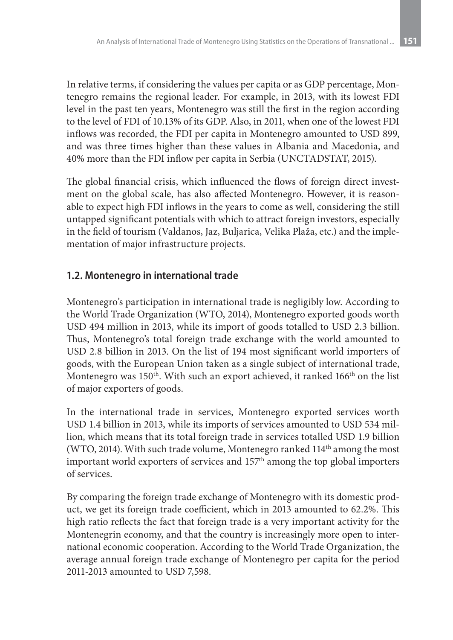In relative terms, if considering the values per capita or as GDP percentage, Montenegro remains the regional leader. For example, in 2013, with its lowest FDI level in the past ten years, Montenegro was still the first in the region according to the level of FDI of 10.13% of its GDP. Also, in 2011, when one of the lowest FDI inflows was recorded, the FDI per capita in Montenegro amounted to USD 899, and was three times higher than these values in Albania and Macedonia, and 40% more than the FDI inflow per capita in Serbia (UNCTADSTAT, 2015).

The global financial crisis, which influenced the flows of foreign direct investment on the global scale, has also affected Montenegro. However, it is reasonable to expect high FDI inflows in the years to come as well, considering the still untapped significant potentials with which to attract foreign investors, especially in the field of tourism (Valdanos, Jaz, Buljarica, Velika Plaža, etc.) and the implementation of major infrastructure projects.

#### **1.2. Montenegro in international trade**

Montenegro's participation in international trade is negligibly low. According to the World Trade Organization (WTO, 2014), Montenegro exported goods worth USD 494 million in 2013, while its import of goods totalled to USD 2.3 billion. Thus, Montenegro's total foreign trade exchange with the world amounted to USD 2.8 billion in 2013. On the list of 194 most significant world importers of goods, with the European Union taken as a single subject of international trade, Montenegro was 150<sup>th</sup>. With such an export achieved, it ranked 166<sup>th</sup> on the list of major exporters of goods.

In the international trade in services, Montenegro exported services worth USD 1.4 billion in 2013, while its imports of services amounted to USD 534 million, which means that its total foreign trade in services totalled USD 1.9 billion (WTO, 2014). With such trade volume, Montenegro ranked 114<sup>th</sup> among the most important world exporters of services and 157th among the top global importers of services.

By comparing the foreign trade exchange of Montenegro with its domestic product, we get its foreign trade coefficient, which in 2013 amounted to 62.2%. This high ratio reflects the fact that foreign trade is a very important activity for the Montenegrin economy, and that the country is increasingly more open to international economic cooperation. According to the World Trade Organization, the average annual foreign trade exchange of Montenegro per capita for the period 2011-2013 amounted to USD 7,598.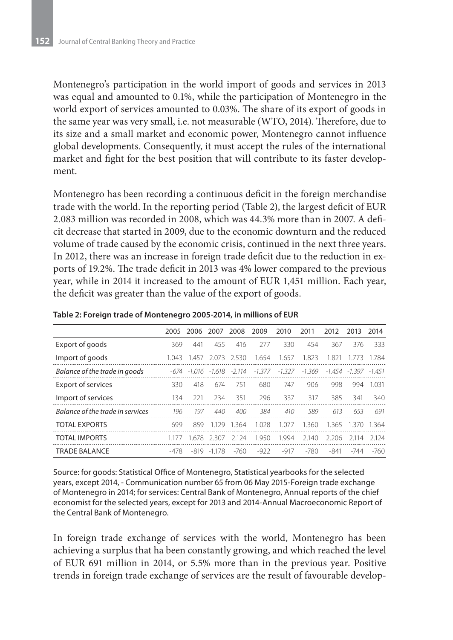Montenegro's participation in the world import of goods and services in 2013 was equal and amounted to 0.1%, while the participation of Montenegro in the world export of services amounted to 0.03%. The share of its export of goods in the same year was very small, i.e. not measurable (WTO, 2014). Therefore, due to its size and a small market and economic power, Montenegro cannot influence global developments. Consequently, it must accept the rules of the international market and fight for the best position that will contribute to its faster development.

Montenegro has been recording a continuous deficit in the foreign merchandise trade with the world. In the reporting period (Table 2), the largest deficit of EUR 2.083 million was recorded in 2008, which was 44.3% more than in 2007. A deficit decrease that started in 2009, due to the economic downturn and the reduced volume of trade caused by the economic crisis, continued in the next three years. In 2012, there was an increase in foreign trade deficit due to the reduction in exports of 19.2%. The trade deficit in 2013 was 4% lower compared to the previous year, while in 2014 it increased to the amount of EUR 1,451 million. Each year, the deficit was greater than the value of the export of goods.

|                                  | 2005  | 2006 2007          |         | 2008   | 2009     | 2010     | 2011   | 2012  | 2013                 | 2014      |
|----------------------------------|-------|--------------------|---------|--------|----------|----------|--------|-------|----------------------|-----------|
| Export of goods                  | 369   | 441                | 455     | 416    | 277      | 330      | 454    | 367   | 376                  | 333       |
| Import of goods                  | 1.043 | 1.457              | 2.073   | 2.530  | 1.654    | 1.657    | 1.823  | 1.821 | 1.773                | 1.784     |
| Balance of the trade in goods    |       | -674 -1.016 -1.618 |         | -2.114 | $-1.377$ | $-1.327$ | -1.369 |       | -1.454 -1.397 -1.451 |           |
| <b>Export of services</b>        | 330   | 418                | 674     | 751    | 680      | 747      | 906    | 998   | 994                  | 1 031     |
| Import of services               | 134   | 221                | 234     | 351    | 296      | 337      | 317    | 385   | 341                  | 340       |
| Balance of the trade in services | 196   | 197                | 440     | 400    | 384      | 410      | 589    | 613   | 653                  | 691       |
| <b>TOTAL EXPORTS</b>             | 699   | 859                | 1129    | 1.364  | 1.028    | 1.077    | 1.360  | 1.365 | 1370                 | -1.364    |
| <b>TOTAL IMPORTS</b>             |       | 1678               | 2.307   | -2.124 | 1.950    | 1.994    | 2.140  | 2.206 | 2 1 1 4              | - 2 1 2 4 |
| <b>TRADE BALANCE</b>             | -478  | -819               | $-1178$ | $-760$ | -922     | -917     | -780   | -841  | -744                 | -760      |

**Table 2: Foreign trade of Montenegro 2005-2014, in millions of EUR**

Source: for goods: Statistical Office of Montenegro, Statistical yearbooks for the selected years, except 2014, - Communication number 65 from 06 May 2015-Foreign trade exchange of Montenegro in 2014; for services: Central Bank of Montenegro, Annual reports of the chief economist for the selected years, except for 2013 and 2014-Annual Macroeconomic Report of the Central Bank of Montenegro.

In foreign trade exchange of services with the world, Montenegro has been achieving a surplus that ha been constantly growing, and which reached the level of EUR 691 million in 2014, or 5.5% more than in the previous year. Positive trends in foreign trade exchange of services are the result of favourable develop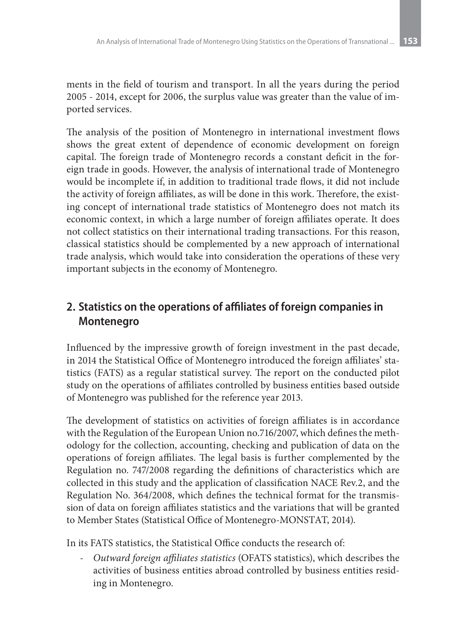ments in the field of tourism and transport. In all the years during the period 2005 - 2014, except for 2006, the surplus value was greater than the value of imported services.

The analysis of the position of Montenegro in international investment flows shows the great extent of dependence of economic development on foreign capital. The foreign trade of Montenegro records a constant deficit in the foreign trade in goods. However, the analysis of international trade of Montenegro would be incomplete if, in addition to traditional trade flows, it did not include the activity of foreign affiliates, as will be done in this work. Therefore, the existing concept of international trade statistics of Montenegro does not match its economic context, in which a large number of foreign affiliates operate. It does not collect statistics on their international trading transactions. For this reason, classical statistics should be complemented by a new approach of international trade analysis, which would take into consideration the operations of these very important subjects in the economy of Montenegro.

# **2. Statistics on the operations of affiliates of foreign companies in Montenegro**

Influenced by the impressive growth of foreign investment in the past decade, in 2014 the Statistical Office of Montenegro introduced the foreign affiliates' statistics (FATS) as a regular statistical survey. The report on the conducted pilot study on the operations of affiliates controlled by business entities based outside of Montenegro was published for the reference year 2013.

The development of statistics on activities of foreign affiliates is in accordance with the Regulation of the European Union no.716/2007, which defines the methodology for the collection, accounting, checking and publication of data on the operations of foreign affiliates. The legal basis is further complemented by the Regulation no. 747/2008 regarding the definitions of characteristics which are collected in this study and the application of classification NACE Rev.2, and the Regulation No. 364/2008, which defines the technical format for the transmission of data on foreign affiliates statistics and the variations that will be granted to Member States (Statistical Office of Montenegro-MONSTAT, 2014).

In its FATS statistics, the Statistical Office conducts the research of:

- *Outward foreign affiliates statistics* (OFATS statistics), which describes the activities of business entities abroad controlled by business entities residing in Montenegro.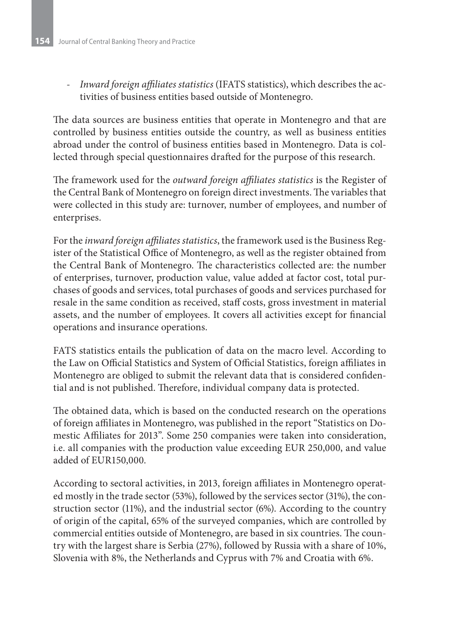- *Inward foreign affiliates statistics* (IFATS statistics), which describes the activities of business entities based outside of Montenegro.

The data sources are business entities that operate in Montenegro and that are controlled by business entities outside the country, as well as business entities abroad under the control of business entities based in Montenegro. Data is collected through special questionnaires drafted for the purpose of this research.

The framework used for the *outward foreign affiliates statistics* is the Register of the Central Bank of Montenegro on foreign direct investments. The variables that were collected in this study are: turnover, number of employees, and number of enterprises.

For the *inward foreign affiliates statistics*, the framework used is the Business Register of the Statistical Office of Montenegro, as well as the register obtained from the Central Bank of Montenegro. The characteristics collected are: the number of enterprises, turnover, production value, value added at factor cost, total purchases of goods and services, total purchases of goods and services purchased for resale in the same condition as received, staff costs, gross investment in material assets, and the number of employees. It covers all activities except for financial operations and insurance operations.

FATS statistics entails the publication of data on the macro level. According to the Law on Official Statistics and System of Official Statistics, foreign affiliates in Montenegro are obliged to submit the relevant data that is considered confidential and is not published. Therefore, individual company data is protected.

The obtained data, which is based on the conducted research on the operations of foreign affiliates in Montenegro, was published in the report "Statistics on Domestic Affiliates for 2013". Some 250 companies were taken into consideration, i.e. all companies with the production value exceeding EUR 250,000, and value added of EUR150,000.

According to sectoral activities, in 2013, foreign affiliates in Montenegro operated mostly in the trade sector (53%), followed by the services sector (31%), the construction sector (11%), and the industrial sector (6%). According to the country of origin of the capital, 65% of the surveyed companies, which are controlled by commercial entities outside of Montenegro, are based in six countries. The country with the largest share is Serbia (27%), followed by Russia with a share of 10%, Slovenia with 8%, the Netherlands and Cyprus with 7% and Croatia with 6%.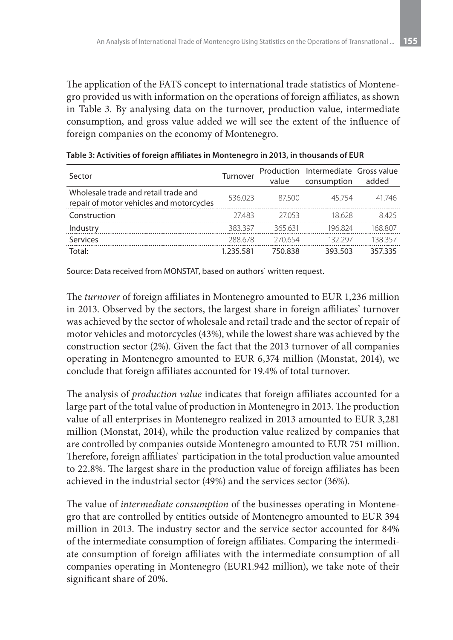The application of the FATS concept to international trade statistics of Montenegro provided us with information on the operations of foreign affiliates, as shown in Table 3. By analysing data on the turnover, production value, intermediate consumption, and gross value added we will see the extent of the influence of foreign companies on the economy of Montenegro.

| Sector                                                                           | Turnover  | value   | Production Intermediate Gross value<br>consumption | added   |
|----------------------------------------------------------------------------------|-----------|---------|----------------------------------------------------|---------|
| Wholesale trade and retail trade and<br>repair of motor vehicles and motorcycles | 536.023   | 87500   | 45754                                              | 41746   |
| Construction                                                                     | 27483     | 27053   | 18.628                                             | 8425    |
| Industry                                                                         | 383397    | 365 631 | 196824                                             | 168 807 |
| Services                                                                         | 288.678   | 270654  | 132 297                                            | 138 357 |
| Total:                                                                           | 1.235.581 | 750.838 | 393.503                                            | 357335  |

Source: Data received from MONSTAT, based on authors` written request.

The *turnover* of foreign affiliates in Montenegro amounted to EUR 1,236 million in 2013. Observed by the sectors, the largest share in foreign affiliates' turnover was achieved by the sector of wholesale and retail trade and the sector of repair of motor vehicles and motorcycles (43%), while the lowest share was achieved by the construction sector (2%). Given the fact that the 2013 turnover of all companies operating in Montenegro amounted to EUR 6,374 million (Monstat, 2014), we conclude that foreign affiliates accounted for 19.4% of total turnover.

The analysis of *production value* indicates that foreign affiliates accounted for a large part of the total value of production in Montenegro in 2013. The production value of all enterprises in Montenegro realized in 2013 amounted to EUR 3,281 million (Monstat, 2014), while the production value realized by companies that are controlled by companies outside Montenegro amounted to EUR 751 million. Therefore, foreign affiliates` participation in the total production value amounted to 22.8%. The largest share in the production value of foreign affiliates has been achieved in the industrial sector (49%) and the services sector (36%).

The value of *intermediate consumption* of the businesses operating in Montenegro that are controlled by entities outside of Montenegro amounted to EUR 394 million in 2013. The industry sector and the service sector accounted for 84% of the intermediate consumption of foreign affiliates. Comparing the intermediate consumption of foreign affiliates with the intermediate consumption of all companies operating in Montenegro (EUR1.942 million), we take note of their significant share of 20%.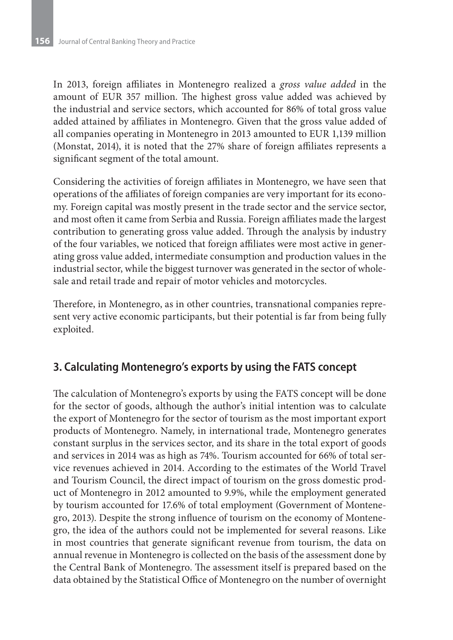In 2013, foreign affiliates in Montenegro realized a *gross value added* in the amount of EUR 357 million. The highest gross value added was achieved by the industrial and service sectors, which accounted for 86% of total gross value added attained by affiliates in Montenegro. Given that the gross value added of all companies operating in Montenegro in 2013 amounted to EUR 1,139 million (Monstat, 2014), it is noted that the 27% share of foreign affiliates represents a significant segment of the total amount.

Considering the activities of foreign affiliates in Montenegro, we have seen that operations of the affiliates of foreign companies are very important for its economy. Foreign capital was mostly present in the trade sector and the service sector, and most often it came from Serbia and Russia. Foreign affiliates made the largest contribution to generating gross value added. Through the analysis by industry of the four variables, we noticed that foreign affiliates were most active in generating gross value added, intermediate consumption and production values in the industrial sector, while the biggest turnover was generated in the sector of wholesale and retail trade and repair of motor vehicles and motorcycles.

Therefore, in Montenegro, as in other countries, transnational companies represent very active economic participants, but their potential is far from being fully exploited.

### **3. Calculating Montenegro's exports by using the FATS concept**

The calculation of Montenegro's exports by using the FATS concept will be done for the sector of goods, although the author's initial intention was to calculate the export of Montenegro for the sector of tourism as the most important export products of Montenegro. Namely, in international trade, Montenegro generates constant surplus in the services sector, and its share in the total export of goods and services in 2014 was as high as 74%. Tourism accounted for 66% of total service revenues achieved in 2014. According to the estimates of the World Travel and Tourism Council, the direct impact of tourism on the gross domestic product of Montenegro in 2012 amounted to 9.9%, while the employment generated by tourism accounted for 17.6% of total employment (Government of Montenegro, 2013). Despite the strong influence of tourism on the economy of Montenegro, the idea of the authors could not be implemented for several reasons. Like in most countries that generate significant revenue from tourism, the data on annual revenue in Montenegro is collected on the basis of the assessment done by the Central Bank of Montenegro. The assessment itself is prepared based on the data obtained by the Statistical Office of Montenegro on the number of overnight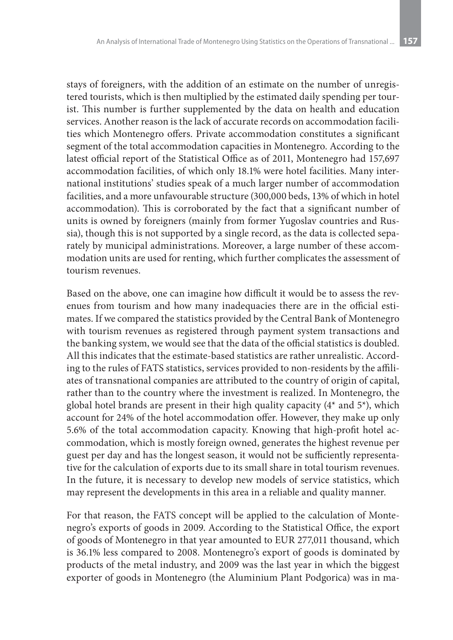stays of foreigners, with the addition of an estimate on the number of unregistered tourists, which is then multiplied by the estimated daily spending per tourist. This number is further supplemented by the data on health and education services. Another reason is the lack of accurate records on accommodation facilities which Montenegro offers. Private accommodation constitutes a significant segment of the total accommodation capacities in Montenegro. According to the latest official report of the Statistical Office as of 2011, Montenegro had 157,697 accommodation facilities, of which only 18.1% were hotel facilities. Many international institutions' studies speak of a much larger number of accommodation facilities, and a more unfavourable structure (300,000 beds, 13% of which in hotel accommodation). This is corroborated by the fact that a significant number of units is owned by foreigners (mainly from former Yugoslav countries and Russia), though this is not supported by a single record, as the data is collected separately by municipal administrations. Moreover, a large number of these accommodation units are used for renting, which further complicates the assessment of tourism revenues.

Based on the above, one can imagine how difficult it would be to assess the revenues from tourism and how many inadequacies there are in the official estimates. If we compared the statistics provided by the Central Bank of Montenegro with tourism revenues as registered through payment system transactions and the banking system, we would see that the data of the official statistics is doubled. All this indicates that the estimate-based statistics are rather unrealistic. According to the rules of FATS statistics, services provided to non-residents by the affiliates of transnational companies are attributed to the country of origin of capital, rather than to the country where the investment is realized. In Montenegro, the global hotel brands are present in their high quality capacity  $(4^*$  and  $5^*$ ), which account for 24% of the hotel accommodation offer. However, they make up only 5.6% of the total accommodation capacity. Knowing that high-profit hotel accommodation, which is mostly foreign owned, generates the highest revenue per guest per day and has the longest season, it would not be sufficiently representative for the calculation of exports due to its small share in total tourism revenues. In the future, it is necessary to develop new models of service statistics, which may represent the developments in this area in a reliable and quality manner.

For that reason, the FATS concept will be applied to the calculation of Montenegro's exports of goods in 2009. According to the Statistical Office, the export of goods of Montenegro in that year amounted to EUR 277,011 thousand, which is 36.1% less compared to 2008. Montenegro's export of goods is dominated by products of the metal industry, and 2009 was the last year in which the biggest exporter of goods in Montenegro (the Aluminium Plant Podgorica) was in ma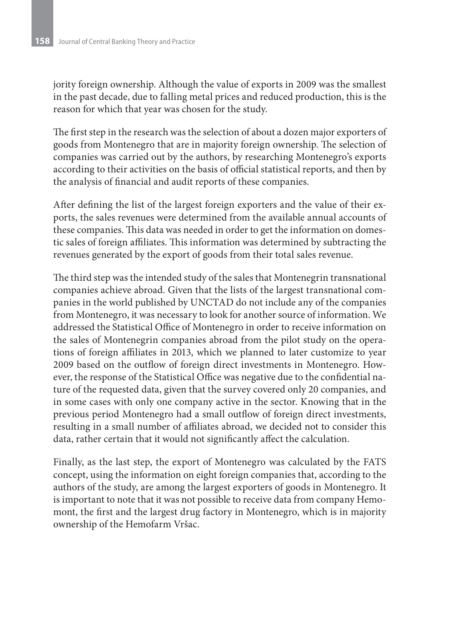jority foreign ownership. Although the value of exports in 2009 was the smallest in the past decade, due to falling metal prices and reduced production, this is the reason for which that year was chosen for the study.

The first step in the research was the selection of about a dozen major exporters of goods from Montenegro that are in majority foreign ownership. The selection of companies was carried out by the authors, by researching Montenegro's exports according to their activities on the basis of official statistical reports, and then by the analysis of financial and audit reports of these companies.

After defining the list of the largest foreign exporters and the value of their exports, the sales revenues were determined from the available annual accounts of these companies. This data was needed in order to get the information on domestic sales of foreign affiliates. This information was determined by subtracting the revenues generated by the export of goods from their total sales revenue.

The third step was the intended study of the sales that Montenegrin transnational companies achieve abroad. Given that the lists of the largest transnational companies in the world published by UNCTAD do not include any of the companies from Montenegro, it was necessary to look for another source of information. We addressed the Statistical Office of Montenegro in order to receive information on the sales of Montenegrin companies abroad from the pilot study on the operations of foreign affiliates in 2013, which we planned to later customize to year 2009 based on the outflow of foreign direct investments in Montenegro. However, the response of the Statistical Office was negative due to the confidential nature of the requested data, given that the survey covered only 20 companies, and in some cases with only one company active in the sector. Knowing that in the previous period Montenegro had a small outflow of foreign direct investments, resulting in a small number of affiliates abroad, we decided not to consider this data, rather certain that it would not significantly affect the calculation.

Finally, as the last step, the export of Montenegro was calculated by the FATS concept, using the information on eight foreign companies that, according to the authors of the study, are among the largest exporters of goods in Montenegro. It is important to note that it was not possible to receive data from company Hemomont, the first and the largest drug factory in Montenegro, which is in majority ownership of the Hemofarm Vršac.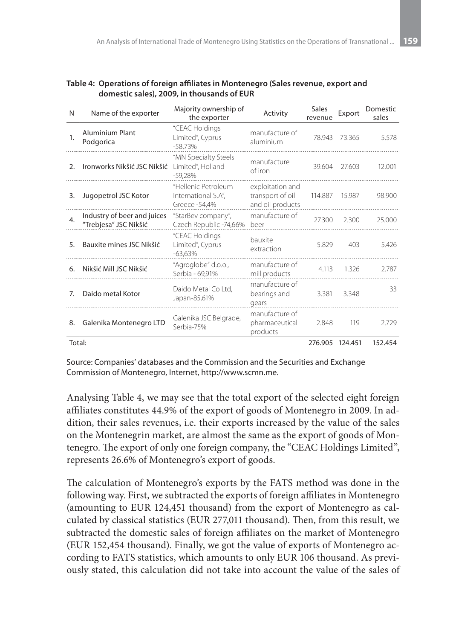| N                     | Name of the exporter                                 | Majority ownership of<br>the exporter                       | Activity                                                 | Sales<br>revenue | Export | Domestic<br>sales |
|-----------------------|------------------------------------------------------|-------------------------------------------------------------|----------------------------------------------------------|------------------|--------|-------------------|
| 1.                    | <b>Aluminium Plant</b><br>Podgorica                  | "CEAC Holdings<br>Limited", Cyprus<br>$-58.73%$             | manufacture of<br>aluminium                              | 78.943           | 73.365 | 5.578             |
| $\mathcal{P}_{\cdot}$ | Ironworks Nikšić JSC Nikšić                          | "MN Specialty Steels<br>Limited", Holland<br>$-59,28%$      | manufacture<br>of iron                                   | 39.604           | 27.603 | 12.001            |
| 3.                    | Jugopetrol JSC Kotor                                 | "Hellenic Petroleum<br>International S.A",<br>Greece -54,4% | exploitation and<br>transport of oil<br>and oil products | 114.887          | 15.987 | 98.900            |
| 4.                    | Industry of beer and juices<br>"Trebjesa" JSC Nikšić | "StarBev company",<br>Czech Republic -74,66%                | manufacture of<br>beer                                   | 27.300           | 2.300  | 25.000            |
| 5.                    | Bauxite mines JSC Nikšić                             | "CEAC Holdings<br>Limited", Cyprus<br>$-63,63%$             | bauxite<br>extraction                                    | 5.829            | 403    | 5.426             |
| 6.                    | Nikšić Mill JSC Nikšić                               | "Agroglobe" d.o.o.,<br>Serbia - 69,91%                      | manufacture of<br>mill products                          | 4.113            | 1.326  | 2.787             |
| 7.                    | Daido metal Kotor                                    | Daido Metal Co Ltd.<br>Japan-85,61%                         | manufacture of<br>bearings and<br>gears                  | 3.381            | 3.348  | 33                |
| 8.                    | Galenika Montenegro LTD                              | Galenika JSC Belgrade,<br>Serbia-75%                        | manufacture of<br>pharmaceutical<br>products             | 2.848            | 119    | 2.729             |
| Total:                |                                                      |                                                             |                                                          | 276.905 124.451  |        | 152.454           |

**Table 4: Operations of foreign affiliates in Montenegro (Sales revenue, export and domestic sales), 2009, in thousands of EUR**

Source: Companies' databases and the Commission and the Securities and Exchange Commission of Montenegro, Internet, http://www.scmn.me.

Analysing Table 4, we may see that the total export of the selected eight foreign affiliates constitutes 44.9% of the export of goods of Montenegro in 2009. In addition, their sales revenues, i.e. their exports increased by the value of the sales on the Montenegrin market, are almost the same as the export of goods of Montenegro. The export of only one foreign company, the "CEAC Holdings Limited", represents 26.6% of Montenegro's export of goods.

The calculation of Montenegro's exports by the FATS method was done in the following way. First, we subtracted the exports of foreign affiliates in Montenegro (amounting to EUR 124,451 thousand) from the export of Montenegro as calculated by classical statistics (EUR 277,011 thousand). Then, from this result, we subtracted the domestic sales of foreign affiliates on the market of Montenegro (EUR 152,454 thousand). Finally, we got the value of exports of Montenegro according to FATS statistics, which amounts to only EUR 106 thousand. As previously stated, this calculation did not take into account the value of the sales of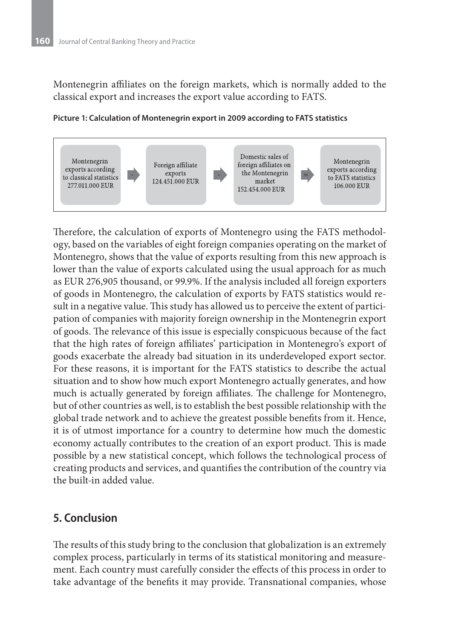Montenegrin affiliates on the foreign markets, which is normally added to the classical export and increases the export value according to FATS.



#### **Picture 1: Calculation of Montenegrin export in 2009 according to FATS statistics**

Therefore, the calculation of exports of Montenegro using the FATS methodology, based on the variables of eight foreign companies operating on the market of Montenegro, shows that the value of exports resulting from this new approach is lower than the value of exports calculated using the usual approach for as much as EUR 276,905 thousand, or 99.9%. If the analysis included all foreign exporters of goods in Montenegro, the calculation of exports by FATS statistics would result in a negative value. This study has allowed us to perceive the extent of participation of companies with majority foreign ownership in the Montenegrin export of goods. The relevance of this issue is especially conspicuous because of the fact that the high rates of foreign affiliates' participation in Montenegro's export of goods exacerbate the already bad situation in its underdeveloped export sector. For these reasons, it is important for the FATS statistics to describe the actual situation and to show how much export Montenegro actually generates, and how much is actually generated by foreign affiliates. The challenge for Montenegro, but of other countries as well, is to establish the best possible relationship with the global trade network and to achieve the greatest possible benefits from it. Hence, it is of utmost importance for a country to determine how much the domestic economy actually contributes to the creation of an export product. This is made possible by a new statistical concept, which follows the technological process of creating products and services, and quantifies the contribution of the country via the built-in added value.

### **5. Conclusion**

The results of this study bring to the conclusion that globalization is an extremely complex process, particularly in terms of its statistical monitoring and measurement. Each country must carefully consider the effects of this process in order to take advantage of the benefits it may provide. Transnational companies, whose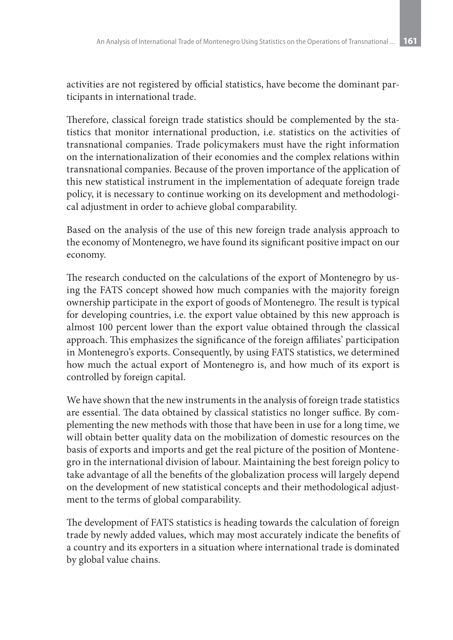activities are not registered by official statistics, have become the dominant participants in international trade.

Therefore, classical foreign trade statistics should be complemented by the statistics that monitor international production, i.e. statistics on the activities of transnational companies. Trade policymakers must have the right information on the internationalization of their economies and the complex relations within transnational companies. Because of the proven importance of the application of this new statistical instrument in the implementation of adequate foreign trade policy, it is necessary to continue working on its development and methodological adjustment in order to achieve global comparability.

Based on the analysis of the use of this new foreign trade analysis approach to the economy of Montenegro, we have found its significant positive impact on our economy.

The research conducted on the calculations of the export of Montenegro by using the FATS concept showed how much companies with the majority foreign ownership participate in the export of goods of Montenegro. The result is typical for developing countries, i.e. the export value obtained by this new approach is almost 100 percent lower than the export value obtained through the classical approach. This emphasizes the significance of the foreign affiliates' participation in Montenegro's exports. Consequently, by using FATS statistics, we determined how much the actual export of Montenegro is, and how much of its export is controlled by foreign capital.

We have shown that the new instruments in the analysis of foreign trade statistics are essential. The data obtained by classical statistics no longer suffice. By complementing the new methods with those that have been in use for a long time, we will obtain better quality data on the mobilization of domestic resources on the basis of exports and imports and get the real picture of the position of Montenegro in the international division of labour. Maintaining the best foreign policy to take advantage of all the benefits of the globalization process will largely depend on the development of new statistical concepts and their methodological adjustment to the terms of global comparability.

The development of FATS statistics is heading towards the calculation of foreign trade by newly added values, which may most accurately indicate the benefits of a country and its exporters in a situation where international trade is dominated by global value chains.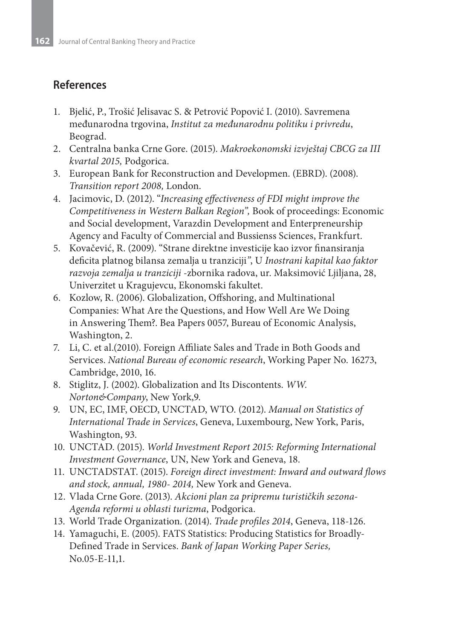### **References**

- 1. Bjelić, P., Trošić Jelisavac S. & Petrović Popović I. (2010). Savremena međunarodna trgovina, *Institut za međunarodnu politiku i privredu*, Beograd.
- 2. Centralna banka Crne Gore. (2015). *Makroekonomski izvještaj CBCG za III kvartal 2015,* Podgorica.
- 3. European Bank for Reconstruction and Developmen. (EBRD). (2008). *Transition report 2008,* London.
- 4. Jacimovic, D. (2012). "*Increasing effectiveness of FDI might improve the Competitiveness in Western Balkan Region",* Book of proceedings: Economic and Social development, Varazdin Development and Enterpreneurship Agency and Faculty of Commercial and Bussienss Sciences, Frankfurt.
- 5. Kovačević, R. (2009). "Strane direktne investicije kao izvor finansiranja deficita platnog bilansa zemalja u tranziciji*"*, U *Inostrani kapital kao faktor razvoja zemalja u tranziciji* -zbornika radova, ur. Maksimović Ljiljana, 28, Univerzitet u Kragujevcu, Ekonomski fakultet.
- 6. Kozlow, R. (2006). Globalization, Offshoring, and Multinational Companies: What Are the Questions, and How Well Are We Doing in Answering Them?. Bea Papers 0057, Bureau of Economic Analysis, Washington, 2.
- 7. Li, C. et al.(2010). Foreign Affiliate Sales and Trade in Both Goods and Services. *National Bureau of economic research*, Working Paper No. 16273, Cambridge, 2010, 16.
- 8. Stiglitz, J. (2002). Globalization and Its Discontents. *WW. Norton&Company*, New York,9.
- 9. UN, EC, IMF, OECD, UNCTAD, WTO. (2012). *Manual on Statistics of International Trade in Services*, Geneva, Luxembourg, New York, Paris, Washington, 93.
- 10. UNCTAD. (2015). *World Investment Report 2015: Reforming International Investment Governance*, UN, New York and Geneva, 18.
- 11. UNCTADSTAT. (2015). *Foreign direct investment: Inward and outward flows and stock, annual, 1980- 2014,* New York and Geneva.
- 12. Vlada Crne Gore. (2013). *Akcioni plan za pripremu turističkih sezona-Agenda reformi u oblasti turizma*, Podgorica.
- 13. World Trade Organization. (2014). *Trade profiles 2014*, Geneva, 118-126.
- 14. Yamaguchi, E. (2005). FATS Statistics: Producing Statistics for Broadly-Defined Trade in Services. *Bank of Japan Working Paper Series,*  No.05-E-11,1.